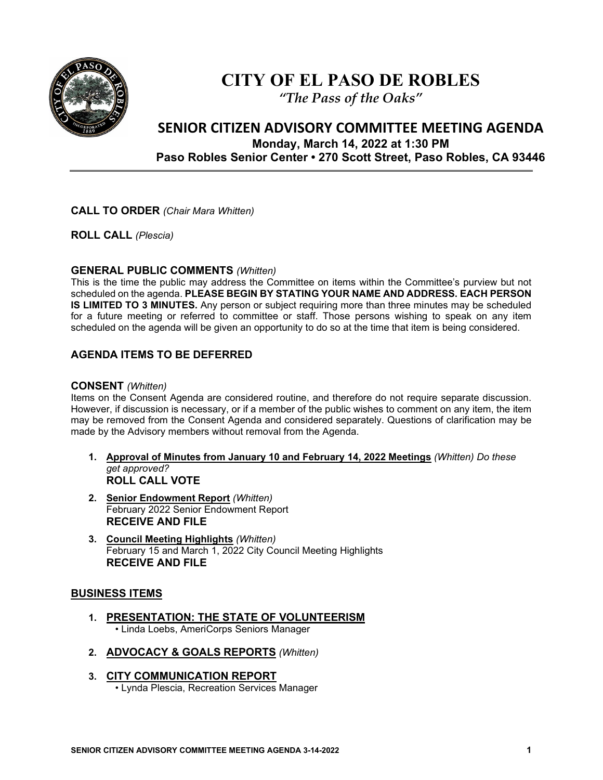

# **CITY OF EL PASO DE ROBLES**

*"The Pass of the Oaks"*

# **SENIOR CITIZEN ADVISORY COMMITTEE MEETING AGENDA Monday, March 14, 2022 at 1:30 PM Paso Robles Senior Center • 270 Scott Street, Paso Robles, CA 93446**

#### **CALL TO ORDER** *(Chair Mara Whitten)*

**ROLL CALL** *(Plescia)*

#### **GENERAL PUBLIC COMMENTS** *(Whitten)*

This is the time the public may address the Committee on items within the Committee's purview but not scheduled on the agenda. **PLEASE BEGIN BY STATING YOUR NAME AND ADDRESS. EACH PERSON IS LIMITED TO 3 MINUTES.** Any person or subject requiring more than three minutes may be scheduled for a future meeting or referred to committee or staff. Those persons wishing to speak on any item scheduled on the agenda will be given an opportunity to do so at the time that item is being considered.

# **AGENDA ITEMS TO BE DEFERRED**

#### **CONSENT** *(Whitten)*

Items on the Consent Agenda are considered routine, and therefore do not require separate discussion. However, if discussion is necessary, or if a member of the public wishes to comment on any item, the item may be removed from the Consent Agenda and considered separately. Questions of clarification may be made by the Advisory members without removal from the Agenda.

- **1. Approval of Minutes from January 10 and February 14, 2022 Meetings** *(Whitten) Do these get approved?* **ROLL CALL VOTE**
- **2. Senior Endowment Report** *(Whitten)* February 2022 Senior Endowment Report **RECEIVE AND FILE**
- **3. Council Meeting Highlights** *(Whitten)* February 15 and March 1, 2022 City Council Meeting Highlights **RECEIVE AND FILE**

### **BUSINESS ITEMS**

- **1. PRESENTATION: THE STATE OF VOLUNTEERISM** • Linda Loebs, AmeriCorps Seniors Manager
- **2. ADVOCACY & GOALS REPORTS** *(Whitten)*
- **3. CITY COMMUNICATION REPORT** • Lynda Plescia, Recreation Services Manager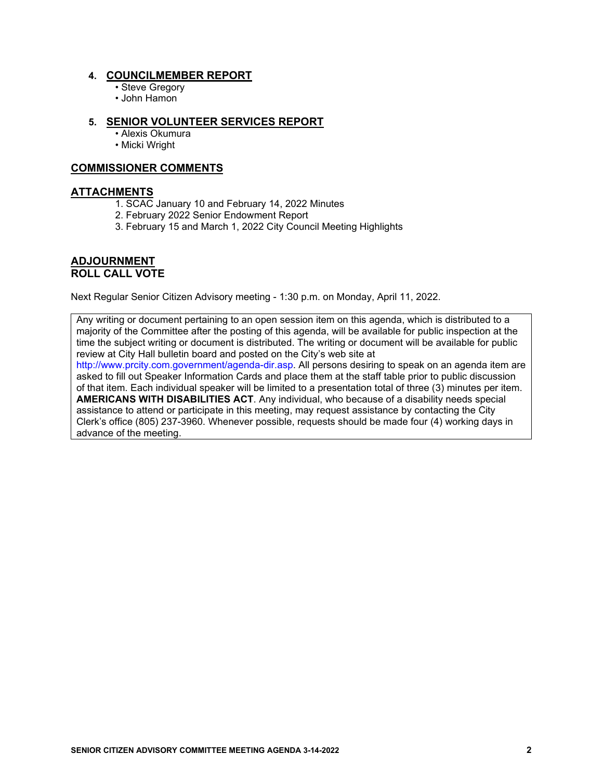#### **4. COUNCILMEMBER REPORT**

- Steve Gregory
- John Hamon

#### **5. SENIOR VOLUNTEER SERVICES REPORT**

- Alexis Okumura
- Micki Wright

#### **COMMISSIONER COMMENTS**

#### **ATTACHMENTS**

- 1. SCAC January 10 and February 14, 2022 Minutes
- 2. February 2022 Senior Endowment Report
- 3. February 15 and March 1, 2022 City Council Meeting Highlights

#### **ADJOURNMENT ROLL CALL VOTE**

Next Regular Senior Citizen Advisory meeting - 1:30 p.m. on Monday, April 11, 2022.

Any writing or document pertaining to an open session item on this agenda, which is distributed to a majority of the Committee after the posting of this agenda, will be available for public inspection at the time the subject writing or document is distributed. The writing or document will be available for public review at City Hall bulletin board and posted on the City's web site at

http://www.prcity.com.government/agenda-dir.asp. All persons desiring to speak on an agenda item are asked to fill out Speaker Information Cards and place them at the staff table prior to public discussion of that item. Each individual speaker will be limited to a presentation total of three (3) minutes per item. **AMERICANS WITH DISABILITIES ACT**. Any individual, who because of a disability needs special assistance to attend or participate in this meeting, may request assistance by contacting the City Clerk's office (805) 237-3960. Whenever possible, requests should be made four (4) working days in advance of the meeting.